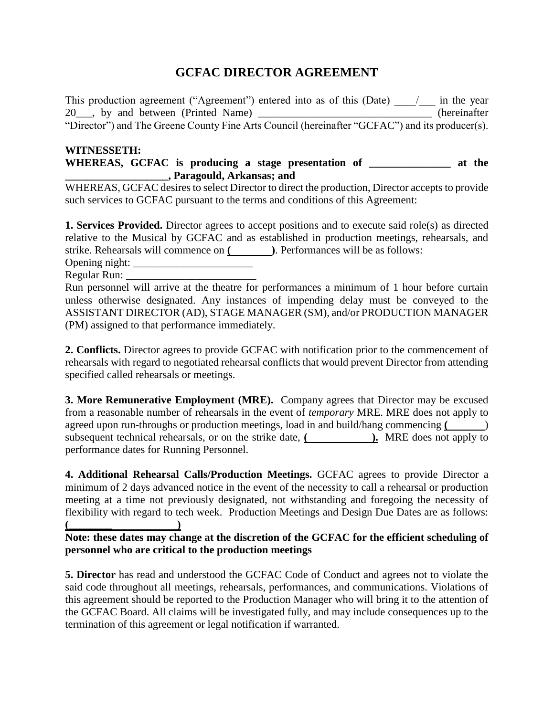## **GCFAC DIRECTOR AGREEMENT**

This production agreement ("Agreement") entered into as of this (Date)  $\qquad$  / in the year 20\_\_\_, by and between (Printed Name) \_\_\_\_\_\_\_\_\_\_\_\_\_\_\_\_\_\_\_\_\_\_\_\_\_\_\_\_\_\_\_\_ (hereinafter "Director") and The Greene County Fine Arts Council (hereinafter "GCFAC") and its producer(s).

## **WITNESSETH: WHEREAS, GCFAC is producing a stage presentation of \_\_\_\_\_\_\_\_\_\_\_\_\_\_\_ at the \_\_\_\_\_\_\_\_\_\_\_\_\_\_\_\_\_\_\_, Paragould, Arkansas; and**

WHEREAS, GCFAC desires to select Director to direct the production, Director accepts to provide such services to GCFAC pursuant to the terms and conditions of this Agreement:

**1. Services Provided.** Director agrees to accept positions and to execute said role(s) as directed relative to the Musical by GCFAC and as established in production meetings, rehearsals, and strike. Rehearsals will commence on  $($   $)$ . Performances will be as follows:

Opening night: \_\_\_\_\_\_\_\_\_\_\_\_\_\_\_\_\_\_\_\_\_\_

Regular Run:

Run personnel will arrive at the theatre for performances a minimum of 1 hour before curtain unless otherwise designated. Any instances of impending delay must be conveyed to the ASSISTANT DIRECTOR (AD), STAGE MANAGER (SM), and/or PRODUCTION MANAGER (PM) assigned to that performance immediately.

**2. Conflicts.** Director agrees to provide GCFAC with notification prior to the commencement of rehearsals with regard to negotiated rehearsal conflicts that would prevent Director from attending specified called rehearsals or meetings.

**3. More Remunerative Employment (MRE).** Company agrees that Director may be excused from a reasonable number of rehearsals in the event of *temporary* MRE. MRE does not apply to agreed upon run-throughs or production meetings, load in and build/hang commencing ( $\qquad$ ) subsequent technical rehearsals, or on the strike date,  $($  **I.** MRE does not apply to performance dates for Running Personnel.

**4. Additional Rehearsal Calls/Production Meetings.** GCFAC agrees to provide Director a minimum of 2 days advanced notice in the event of the necessity to call a rehearsal or production meeting at a time not previously designated, not withstanding and foregoing the necessity of flexibility with regard to tech week. Production Meetings and Design Due Dates are as follows: **(\_\_\_\_\_\_\_\_ )**

## **Note: these dates may change at the discretion of the GCFAC for the efficient scheduling of personnel who are critical to the production meetings**

**5. Director** has read and understood the GCFAC Code of Conduct and agrees not to violate the said code throughout all meetings, rehearsals, performances, and communications. Violations of this agreement should be reported to the Production Manager who will bring it to the attention of the GCFAC Board. All claims will be investigated fully, and may include consequences up to the termination of this agreement or legal notification if warranted.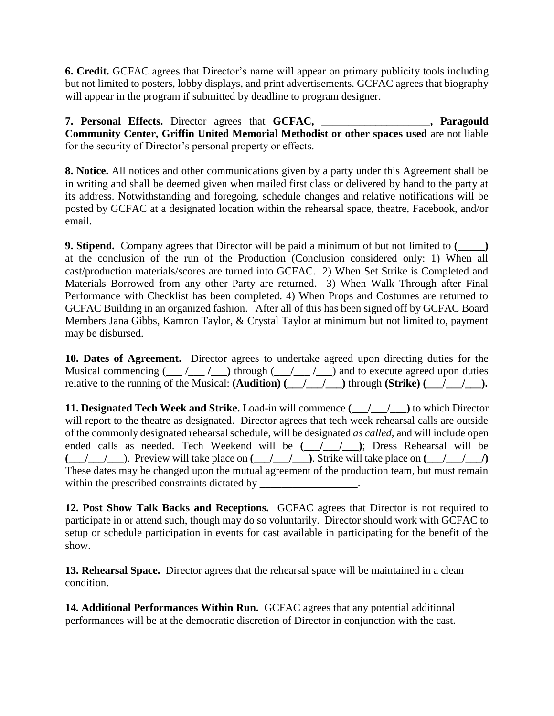**6. Credit.** GCFAC agrees that Director's name will appear on primary publicity tools including but not limited to posters, lobby displays, and print advertisements. GCFAC agrees that biography will appear in the program if submitted by deadline to program designer.

**7. Personal Effects.** Director agrees that **GCFAC, \_\_\_\_\_\_\_\_\_\_\_\_\_\_\_\_\_\_\_\_, Paragould Community Center, Griffin United Memorial Methodist or other spaces used** are not liable for the security of Director's personal property or effects.

**8. Notice.** All notices and other communications given by a party under this Agreement shall be in writing and shall be deemed given when mailed first class or delivered by hand to the party at its address. Notwithstanding and foregoing, schedule changes and relative notifications will be posted by GCFAC at a designated location within the rehearsal space, theatre, Facebook, and/or email.

**9. Stipend.** Company agrees that Director will be paid a minimum of but not limited to **(\_\_\_\_\_)** at the conclusion of the run of the Production (Conclusion considered only: 1) When all cast/production materials/scores are turned into GCFAC. 2) When Set Strike is Completed and Materials Borrowed from any other Party are returned. 3) When Walk Through after Final Performance with Checklist has been completed. 4) When Props and Costumes are returned to GCFAC Building in an organized fashion. After all of this has been signed off by GCFAC Board Members Jana Gibbs, Kamron Taylor, & Crystal Taylor at minimum but not limited to, payment may be disbursed.

**10. Dates of Agreement.** Director agrees to undertake agreed upon directing duties for the Musical commencing ( $\angle$  / $\angle$ ) through ( $\angle$ / $\angle$ ) and to execute agreed upon duties relative to the running of the Musical:  $(Audition)$   $($   $/$   $/$   $/$   $)$  through  $(Strike)$   $($   $/$   $/$   $)$ .

**11. Designated Tech Week and Strike.** Load-in will commence **(\_\_\_/\_\_\_/\_\_\_)** to which Director will report to the theatre as designated. Director agrees that tech week rehearsal calls are outside of the commonly designated rehearsal schedule, will be designated *as called,* and will include open ended calls as needed. Tech Weekend will be **(\_\_\_/\_\_\_/\_\_\_)**; Dress Rehearsal will be  $(\_\_\_\_\_\_\_\_\_\_\$ . Preview will take place on  $(\_\_\_\_\_\_\_\_\_\_\_\_\_\$ . Strike will take place on  $(\_\_\_\_\_\_\_\_\_\_$ . These dates may be changed upon the mutual agreement of the production team, but must remain within the prescribed constraints dictated by **within** 

**12. Post Show Talk Backs and Receptions.** GCFAC agrees that Director is not required to participate in or attend such, though may do so voluntarily. Director should work with GCFAC to setup or schedule participation in events for cast available in participating for the benefit of the show.

**13. Rehearsal Space.** Director agrees that the rehearsal space will be maintained in a clean condition.

**14. Additional Performances Within Run.** GCFAC agrees that any potential additional performances will be at the democratic discretion of Director in conjunction with the cast.